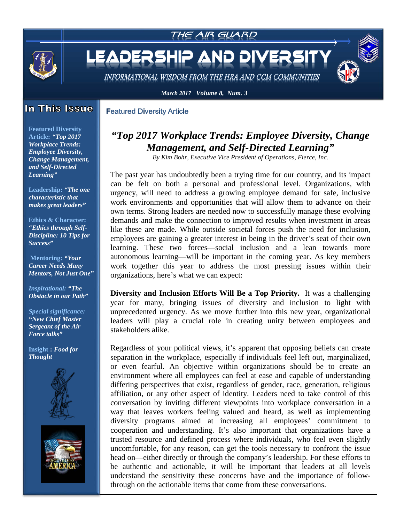

### In This Issue

**Featured Diversity Article** 

**Featured Diversity Article:** *"Top 2017 Workplace Trends: Employee Diversity, Change Management, and Self-Directed Learning"*

**[Leadership:](#page-4-0)** *"The one characteristic that makes great leaders"*

**[Ethics & Character:](#page-4-0)** *"Ethics through Self-Discipline: 10 Tips for Success"*

**Mentoring:** *"Your Career Needs Many Mentors, Not Just One"*

*[Inspirational:](#page-8-0) "The Obstacle in our Path"*

*Special significance: "New Chief Master Sergeant of the Air Force talks"*

**Insight :** *Food for Thought* 





# *"Top 2017 Workplace Trends: Employee Diversity, Change Management, and Self-Directed Learning"*

*By Kim Bohr, Executive Vice President of Operations, Fierce, Inc.*

The past year has undoubtedly been a trying time for our country, and its impact can be felt on both a personal and professional level. Organizations, with urgency, will need to address a growing employee demand for safe, inclusive work environments and opportunities that will allow them to advance on their own terms. Strong leaders are needed now to successfully manage these evolving demands and make the connection to improved results when investment in areas like these are made. While outside societal forces push the need for inclusion, employees are gaining a greater interest in being in the driver's seat of their own learning. These two forces—social inclusion and a lean towards more autonomous learning—will be important in the coming year. As key members work together this year to address the most pressing issues within their organizations, here's what we can expect:

**Diversity and Inclusion Efforts Will Be a Top Priority.** It was a challenging year for many, bringing issues of diversity and inclusion to light with unprecedented urgency. As we move further into this new year, organizational leaders will play a crucial role in creating unity between employees and stakeholders alike.

Regardless of your political views, it's apparent that opposing beliefs can create separation in the workplace, especially if individuals feel left out, marginalized, or even fearful. An objective within organizations should be to create an environment where all employees can feel at ease and capable of understanding differing perspectives that exist, regardless of gender, race, generation, religious affiliation, or any other aspect of identity. Leaders need to take control of this conversation by inviting different viewpoints into workplace conversation in a way that leaves workers feeling valued and heard, as well as implementing diversity programs aimed at increasing all employees' commitment to cooperation and understanding. It's also important that organizations have a trusted resource and defined process where individuals, who feel even slightly uncomfortable, for any reason, can get the tools necessary to confront the issue head on—either directly or through the company's leadership. For these efforts to be authentic and actionable, it will be important that leaders at all levels understand the sensitivity these concerns have and the importance of followthrough on the actionable items that come from these conversations.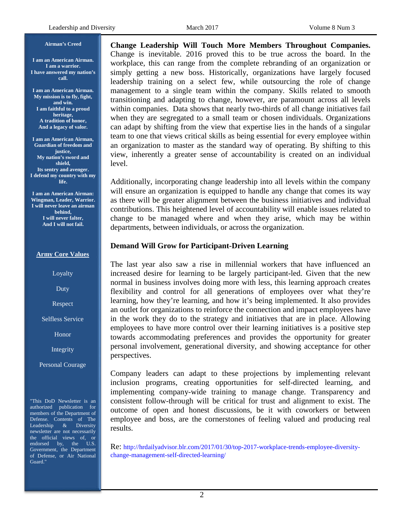#### **I am an American Airman. I am a warrior. I have answered my nation's call.**

**I am an American Airman. My mission is to fly, fight, and win. I am faithful to a proud heritage, A tradition of honor, And a legacy of valor.**

**Airman's Creed**

**I am an American Airman, Guardian of freedom and justice, My nation's sword and shield, Its sentry and avenger. I defend my country with my life.**

**I am an American Airman: Wingman, Leader, Warrior. I will never leave an airman behind, I will never falter, And I will not fail.**

#### **Army Core Values**

Loyalty

Duty

Respect

Selfless Service

Honor

Integrity

Personal Courage

"This DoD Newsletter is an authorized publication for members of the Department of Defense. Contents of The Leadership & Diversity newsletter are not necessarily the official views of, or endorsed by, the U.S. Government, the Department of Defense, or Air National Guard."

**Change Leadership Will Touch More Members Throughout Companies.**  Change is inevitable. 2016 proved this to be true across the board. In the workplace, this can range from the complete rebranding of an organization or simply getting a new boss. Historically, organizations have largely focused leadership training on a select few, while outsourcing the role of change management to a single team within the company. Skills related to smooth transitioning and adapting to change, however, are paramount across all levels within companies. Data shows that nearly two-thirds of all change initiatives fail when they are segregated to a small team or chosen individuals. Organizations can adapt by shifting from the view that expertise lies in the hands of a singular team to one that views critical skills as being essential for every employee within an organization to master as the standard way of operating. By shifting to this view, inherently a greater sense of accountability is created on an individual level.

Additionally, incorporating change leadership into all levels within the company will ensure an organization is equipped to handle any change that comes its way as there will be greater alignment between the business initiatives and individual contributions. This heightened level of accountability will enable issues related to change to be managed where and when they arise, which may be within departments, between individuals, or across the organization.

#### **Demand Will Grow for Participant-Driven Learning**

The last year also saw a rise in millennial workers that have influenced an increased desire for learning to be largely participant-led. Given that the new normal in business involves doing more with less, this learning approach creates flexibility and control for all generations of employees over what they're learning, how they're learning, and how it's being implemented. It also provides an outlet for organizations to reinforce the connection and impact employees have in the work they do to the strategy and initiatives that are in place. Allowing employees to have more control over their learning initiatives is a positive step towards accommodating preferences and provides the opportunity for greater personal involvement, generational diversity, and showing acceptance for other perspectives.

Company leaders can adapt to these projections by implementing relevant inclusion programs, creating opportunities for self-directed learning, and implementing company-wide training to manage change. Transparency and consistent follow-through will be critical for trust and alignment to exist. The outcome of open and honest discussions, be it with coworkers or between employee and boss, are the cornerstones of feeling valued and producing real results.

Re: [http://hrdailyadvisor.blr.com/2017/01/30/top-2017-workplace-trends-employee-diversity](http://hrdailyadvisor.blr.com/2017/01/30/top-2017-workplace-trends-employee-diversity-change-management-self-directed-learning/)[change-management-self-directed-learning/](http://hrdailyadvisor.blr.com/2017/01/30/top-2017-workplace-trends-employee-diversity-change-management-self-directed-learning/)

2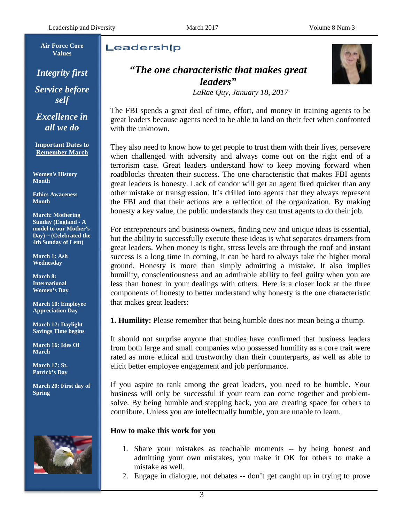**Air Force Core Values**

*Integrity first Service before self*

*Excellence in all we do*

**Important Dates to Remember March**

**Women's History Month**

**Ethics Awareness Month**

**March: Mothering Sunday (England - A model to our Mother's Day) ~ (Celebrated the 4th Sunday of Lent)**

**March 1: Ash Wednesday**

**March 8: International Women's Day** 

**March 10: Employee Appreciation Day**

**March 12: Daylight Savings Time begins**

**March 16: Ides Of March** 

**March 17: St. Patrick's Day** 

**March 20: First day of Spring**



# Leadership

*"The one characteristic that makes great leaders"*



*LaRae Quy, January 18, 2017*

The FBI spends a great deal of time, effort, and money in training agents to be great leaders because agents need to be able to land on their feet when confronted with the unknown.

They also need to know how to get people to trust them with their lives, persevere when challenged with adversity and always come out on the right end of a terrorism case. Great leaders understand how to keep moving forward when roadblocks threaten their success. The one characteristic that makes FBI agents great leaders is honesty. Lack of candor will get an agent fired quicker than any other mistake or transgression. It's drilled into agents that they always represent the FBI and that their actions are a reflection of the organization. By making honesty a key value, the public understands they can trust agents to do their job.

For entrepreneurs and business owners, finding new and unique ideas is essential, but the ability to successfully execute these ideas is what separates dreamers from great leaders. When money is tight, stress levels are through the roof and instant success is a long time in coming, it can be hard to always take the higher moral ground. Honesty is more than simply admitting a mistake. It also implies humility, conscientiousness and an admirable ability to feel guilty when you are less than honest in your dealings with others. Here is a closer look at the three components of honesty to better understand why honesty is the one characteristic that makes great leaders:

**1. Humility:** Please remember that being humble does not mean being a chump.

It should not surprise anyone that studies have confirmed that business leaders from both large and small companies who possessed humility as a core trait were rated as more ethical and trustworthy than their counterparts, as well as able to elicit better employee engagement and job performance.

If you aspire to rank among the great leaders, you need to be humble. Your business will only be successful if your team can come together and problemsolve. By being humble and stepping back, you are creating space for others to contribute. Unless you are intellectually humble, you are unable to learn.

### **How to make this work for you**

- 1. Share your mistakes as teachable moments -- by being honest and admitting your own mistakes, you make it OK for others to make a mistake as well.
- 2. Engage in dialogue, not debates -- don't get caught up in trying to prove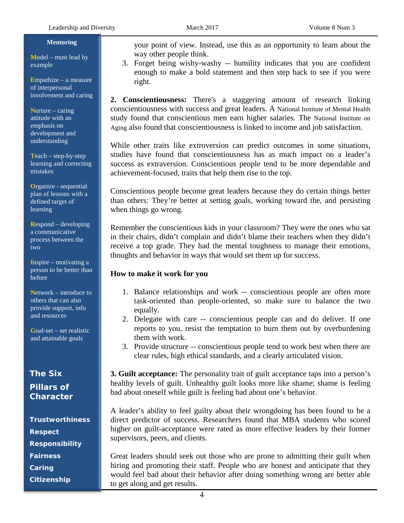#### **Mentoring**

**M**odel – must lead by example

**E**mpathize – a measure of interpersonal involvement and caring

**N**urture – caring attitude with an emphasis on development and understanding

**T**each – step-by-step learning and correcting mistakes

**O**rganize - sequential plan of lessons with a defined target of learning

**R**espond – developing a communicative process between the two

**I**nspire – motivating a person to be better than before

**N**etwork – introduce to others that can also provide support, info and resources

**G**oal-set – set realistic and attainable goals

# **The Six Pillars of Character**

**Trustworthiness Respect Responsibility Fairness Caring Citizenship**

your point of view. Instead, use this as an opportunity to learn about the way other people think.

3. Forget being wishy-washy -- humility indicates that you are confident enough to make a bold statement and then step back to see if you were right.

**2. Conscientiousness:** There's a staggering amount of research linking conscientiousness with success and great leaders. A National Institute of Mental Health study found that conscientious men earn higher salaries. The National Institute on Aging also found that conscientiousness is linked to income and job satisfaction.

While other traits like extroversion can predict outcomes in some situations, studies have found that conscientiousness has as much impact on a leader's success as extraversion. Conscientious people tend to be more dependable and achievement-focused, traits that help them rise to the top.

Conscientious people become great leaders because they do certain things better than others: They're better at setting goals, working toward the, and persisting when things go wrong.

Remember the conscientious kids in your classroom? They were the ones who sat in their chairs, didn't complain and didn't blame their teachers when they didn't receive a top grade. They had the mental toughness to manage their emotions, thoughts and behavior in ways that would set them up for success.

#### **How to make it work for you**

- 1. Balance relationships and work -- conscientious people are often more task-oriented than people-oriented, so make sure to balance the two equally.
- 2. Delegate with care -- conscientious people can and do deliver. If one reports to you, resist the temptation to burn them out by overburdening them with work.
- 3. Provide structure -- conscientious people tend to work best when there are clear rules, high ethical standards, and a clearly articulated vision.

**3. Guilt acceptance:** The personality trait of guilt acceptance taps into a person's healthy levels of guilt. Unhealthy guilt looks more like shame; shame is feeling bad about oneself while guilt is feeling bad about one's behavior.

A leader's ability to feel guilty about their wrongdoing has been found to be a direct predictor of success. Researchers found that MBA students who scored higher on guilt-acceptance were rated as more effective leaders by their former supervisors, peers, and clients.

Great leaders should seek out those who are prone to admitting their guilt when hiring and promoting their staff. People who are honest and anticipate that they would feel bad about their behavior after doing something wrong are better able to get along and get results.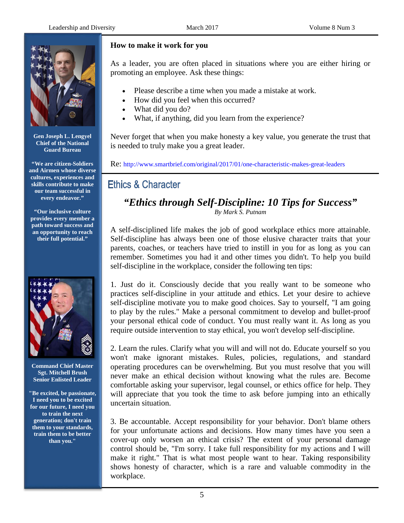

**Gen Joseph L. Lengyel Chief of the National Guard Bureau**

**"We are citizen-Soldiers and Airmen whose diverse cultures, experiences and skills contribute to make our team successful in every endeavor."**

**"Our inclusive culture provides every member a path toward success and an opportunity to reach their full potential."**



**Command Chief Master Sgt. Mitchell Brush Senior Enlisted Leader**

**"Be excited, be passionate, I need you to be excited for our future, I need you to train the next generation; don't train them to your standards, train them to be better than you."**

## **How to make it work for you**

As a leader, you are often placed in situations where you are either hiring or promoting an employee. Ask these things:

- Please describe a time when you made a mistake at work.
- How did you feel when this occurred?
- What did you do?
- What, if anything, did you learn from the experience?

Never forget that when you make honesty a key value, you generate the trust that is needed to truly make you a great leader.

Re:<http://www.smartbrief.com/original/2017/01/one-characteristic-makes-great-leaders>

# **Ethics & Character**

## <span id="page-4-0"></span>*"Ethics through Self-Discipline: 10 Tips for Success" By Mark S. Putnam*

A self-disciplined life makes the job of good workplace ethics more attainable. Self-discipline has always been one of those elusive character traits that your parents, coaches, or teachers have tried to instill in you for as long as you can remember. Sometimes you had it and other times you didn't. To help you build self-discipline in the workplace, consider the following ten tips:

1. Just do it. Consciously decide that you really want to be someone who practices self-discipline in your attitude and ethics. Let your desire to achieve self-discipline motivate you to make good choices. Say to yourself, "I am going to play by the rules." Make a personal commitment to develop and bullet-proof your personal ethical code of conduct. You must really want it. As long as you require outside intervention to stay ethical, you won't develop self-discipline.

2. Learn the rules. Clarify what you will and will not do. Educate yourself so you won't make ignorant mistakes. Rules, policies, regulations, and standard operating procedures can be overwhelming. But you must resolve that you will never make an ethical decision without knowing what the rules are. Become comfortable asking your supervisor, legal counsel, or ethics office for help. They will appreciate that you took the time to ask before jumping into an ethically uncertain situation.

3. Be accountable. Accept responsibility for your behavior. Don't blame others for your unfortunate actions and decisions. How many times have you seen a cover-up only worsen an ethical crisis? The extent of your personal damage control should be, "I'm sorry. I take full responsibility for my actions and I will make it right." That is what most people want to hear. Taking responsibility shows honesty of character, which is a rare and valuable commodity in the workplace.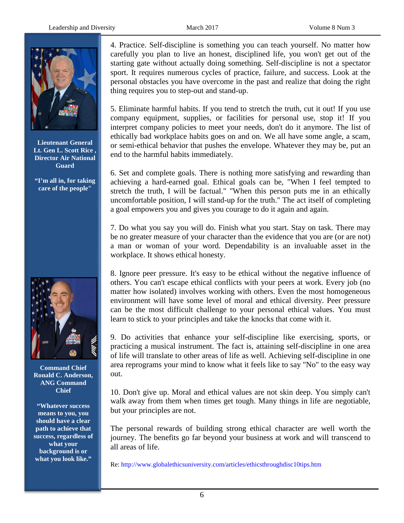

**Lieutenant General Lt. Gen L. Scott Rice , Director Air National Guard**

**"I'm all in, for taking care of the people"**



**Command Chief Ronald C. Anderson, ANG Command Chief**

**"Whatever success means to you, you should have a clear path to achieve that success, regardless of what your background is or what you look like."**

4. Practice. Self-discipline is something you can teach yourself. No matter how carefully you plan to live an honest, disciplined life, you won't get out of the starting gate without actually doing something. Self-discipline is not a spectator sport. It requires numerous cycles of practice, failure, and success. Look at the personal obstacles you have overcome in the past and realize that doing the right thing requires you to step-out and stand-up.

5. Eliminate harmful habits. If you tend to stretch the truth, cut it out! If you use company equipment, supplies, or facilities for personal use, stop it! If you interpret company policies to meet your needs, don't do it anymore. The list of ethically bad workplace habits goes on and on. We all have some angle, a scam, or semi-ethical behavior that pushes the envelope. Whatever they may be, put an end to the harmful habits immediately.

6. Set and complete goals. There is nothing more satisfying and rewarding than achieving a hard-earned goal. Ethical goals can be, "When I feel tempted to stretch the truth, I will be factual." "When this person puts me in an ethically uncomfortable position, I will stand-up for the truth." The act itself of completing a goal empowers you and gives you courage to do it again and again.

7. Do what you say you will do. Finish what you start. Stay on task. There may be no greater measure of your character than the evidence that you are (or are not) a man or woman of your word. Dependability is an invaluable asset in the workplace. It shows ethical honesty.

8. Ignore peer pressure. It's easy to be ethical without the negative influence of others. You can't escape ethical conflicts with your peers at work. Every job (no matter how isolated) involves working with others. Even the most homogeneous environment will have some level of moral and ethical diversity. Peer pressure can be the most difficult challenge to your personal ethical values. You must learn to stick to your principles and take the knocks that come with it.

9. Do activities that enhance your self-discipline like exercising, sports, or practicing a musical instrument. The fact is, attaining self-discipline in one area of life will translate to other areas of life as well. Achieving self-discipline in one area reprograms your mind to know what it feels like to say "No" to the easy way out.

10. Don't give up. Moral and ethical values are not skin deep. You simply can't walk away from them when times get tough. Many things in life are negotiable, but your principles are not.

The personal rewards of building strong ethical character are well worth the journey. The benefits go far beyond your business at work and will transcend to all areas of life.

Re:<http://www.globalethicsuniversity.com/articles/ethicsthroughdisc10tips.htm>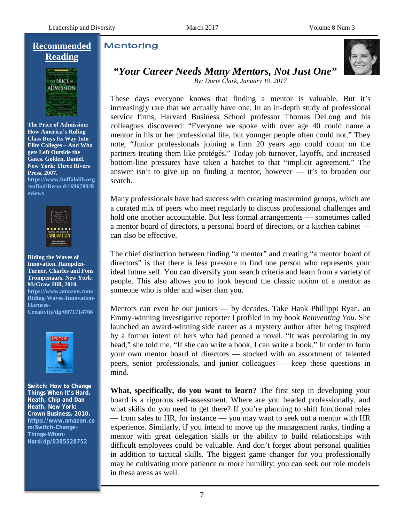## **Recommended Reading**



**The Price of Admission: How America's Ruling Class Buys Its Way Into Elite Colleges – And Who gets Left Outside the Gates. Golden, Daniel. New York: Three Rivers Press, 2007. [https://www.buffalolib.org](https://www.buffalolib.org/vufind/Record/1696789/Reviews) [/vufind/Record/1696789/R](https://www.buffalolib.org/vufind/Record/1696789/Reviews) [eviews](https://www.buffalolib.org/vufind/Record/1696789/Reviews)**



**Riding the Waves of Innovation. Hampden-Turner, Charles and Fons Trompenaars. New York: McGraw Hill, 2010. [https://www.amazon.com/](https://www.amazon.com/Riding-Waves-Innovation-Harness-Creativity/dp/0071714766) [Riding-Waves-Innovation-](https://www.amazon.com/Riding-Waves-Innovation-Harness-Creativity/dp/0071714766)[Harness-](https://www.amazon.com/Riding-Waves-Innovation-Harness-Creativity/dp/0071714766)[Creativity/dp/0071714766](https://www.amazon.com/Riding-Waves-Innovation-Harness-Creativity/dp/0071714766)**



**Switch: How to Change Things When It's Hard. Heath, Chip and Dan Heath. New York: Crown Business, 2010. [https://www.amazon.co](https://www.amazon.com/Switch-Change-Things-When-Hard/dp/0385528752) [m/Switch-Change-](https://www.amazon.com/Switch-Change-Things-When-Hard/dp/0385528752)[Things-When-](https://www.amazon.com/Switch-Change-Things-When-Hard/dp/0385528752)[Hard/dp/0385528752](https://www.amazon.com/Switch-Change-Things-When-Hard/dp/0385528752)**

# **Mentoring**



# *"Your Career Needs Many Mentors, Not Just One"*

*By; Dorie Clark, January 19, 2017*

These days everyone knows that finding a mentor is valuable. But it's increasingly rare that we actually have one. In an in-depth study of professional service firms, Harvard Business School professor Thomas DeLong and his colleagues discovered: "Everyone we spoke with over age 40 could name a mentor in his or her professional life, but younger people often could not." They note, "Junior professionals joining a firm 20 years ago could count on the partners treating them like protégés." Today job turnover, layoffs, and increased bottom-line pressures have taken a hatchet to that "implicit agreement." The answer isn't to give up on finding a mentor, however — it's to broaden our search.

Many professionals have had success with creating mastermind groups, which are a curated mix of peers who meet regularly to discuss professional challenges and hold one another accountable. But less formal arrangements — sometimes called a mentor board of directors, a personal board of directors, or a kitchen cabinet can also be effective.

The chief distinction between finding "a mentor" and creating "a mentor board of directors" is that there is less pressure to find one person who represents your ideal future self. You can diversify your search criteria and learn from a variety of people. This also allows you to look beyond the classic notion of a mentor as someone who is older and wiser than you.

Mentors can even be our juniors — by decades. Take Hank Phillippi Ryan, an Emmy-winning investigative reporter I profiled in my book *Reinventing You*. She launched an award-winning side career as a mystery author after being inspired by a former intern of hers who had penned a novel. "It was percolating in my head," she told me. "If she can write a book, I can write a book." In order to form your own mentor board of directors — stocked with an assortment of talented peers, senior professionals, and junior colleagues — keep these questions in mind.

**What, specifically, do you want to learn?** The first step in developing your board is a rigorous self-assessment. Where are you headed professionally, and what skills do you need to get there? If you're planning to shift functional roles — from sales to HR, for instance — you may want to seek out a mentor with HR experience. Similarly, if you intend to move up the management ranks, finding a mentor with great delegation skills or the ability to build relationships with difficult employees could be valuable. And don't forget about personal qualities in addition to tactical skills. The biggest game changer for you professionally may be cultivating more patience or more humility; you can seek out role models in these areas as well.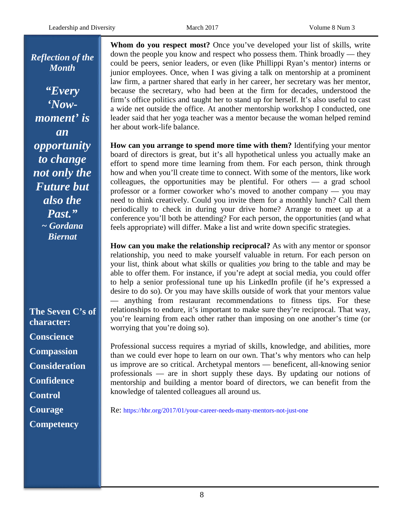*Reflection of the Month*

*"Every 'Nowmoment' is an opportunity to change not only the Future but also the Past." ~ Gordana Biernat*

**The Seven C's of character: Conscience Compassion Consideration Confidence Control Courage Competency**

**Whom do you respect most?** Once you've developed your list of skills, write down the people you know and respect who possess them. Think broadly — they could be peers, senior leaders, or even (like Phillippi Ryan's mentor) interns or junior employees. Once, when I was giving a talk on mentorship at a prominent law firm, a partner shared that early in her career, her secretary was her mentor, because the secretary, who had been at the firm for decades, understood the firm's office politics and taught her to stand up for herself. It's also useful to cast a wide net outside the office. At another mentorship workshop I conducted, one leader said that her yoga teacher was a mentor because the woman helped remind her about work-life balance.

**How can you arrange to spend more time with them?** Identifying your mentor board of directors is great, but it's all hypothetical unless you actually make an effort to spend more time learning from them. For each person, think through how and when you'll create time to connect. With some of the mentors, like work colleagues, the opportunities may be plentiful. For others — a grad school professor or a former coworker who's moved to another company — you may need to think creatively. Could you invite them for a monthly lunch? Call them periodically to check in during your drive home? Arrange to meet up at a conference you'll both be attending? For each person, the opportunities (and what feels appropriate) will differ. Make a list and write down specific strategies.

**How can you make the relationship reciprocal?** As with any mentor or sponsor relationship, you need to make yourself valuable in return. For each person on your list, think about what skills or qualities *you* bring to the table and may be able to offer them. For instance, if you're adept at social media, you could offer to help a senior professional tune up his LinkedIn profile (if he's expressed a desire to do so). Or you may have skills outside of work that your mentors value — anything from restaurant recommendations to fitness tips. For these relationships to endure, it's important to make sure they're reciprocal. That way, you're learning from each other rather than imposing on one another's time (or worrying that you're doing so).

Professional success requires a myriad of skills, knowledge, and abilities, more than we could ever hope to learn on our own. That's why mentors who can help us improve are so critical. Archetypal mentors — beneficent, all-knowing senior professionals — are in short supply these days. By updating our notions of mentorship and building a mentor board of directors, we can benefit from the knowledge of talented colleagues all around us.

Re:<https://hbr.org/2017/01/your-career-needs-many-mentors-not-just-one>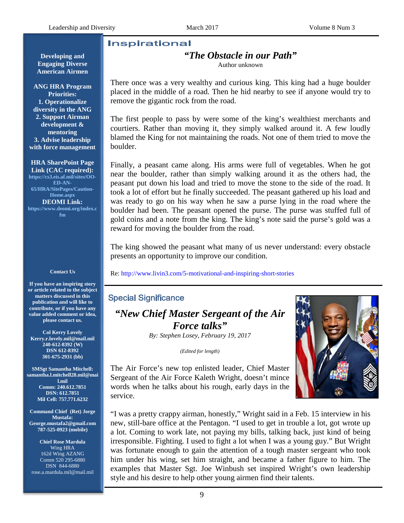#### <span id="page-8-0"></span>**Inspirational**

**Developing and Engaging Diverse American Airmen**

**ANG HRA Program Priorities: 1. Operationalize diversity in the ANG 2. Support Airman development & mentoring 3. Advise leadership with force management**

**HRA SharePoint Page Link (CAC required): [https://cs3.eis.af.mil/sites/OO-](https://cs3.eis.af.mil/sites/OO-ED-AN-65/HRA/SitePages/Caution-Home.aspx)[ED-AN-](https://cs3.eis.af.mil/sites/OO-ED-AN-65/HRA/SitePages/Caution-Home.aspx)[65/HRA/SitePages/Caution-](https://cs3.eis.af.mil/sites/OO-ED-AN-65/HRA/SitePages/Caution-Home.aspx)[Home.aspx](https://cs3.eis.af.mil/sites/OO-ED-AN-65/HRA/SitePages/Caution-Home.aspx)  DEOMI Link: [https://www.deomi.org/index.c](https://www.deomi.org/index.cfm) [fm](https://www.deomi.org/index.cfm)**

#### **Contact Us**

**If you have an inspiring story or article related to the subject matters discussed in this publication and will like to contribute, or if you have any value added comment or idea, please contact us.**

**Col Kerry Lovely [Kerry.r.lovely.mil@mail.mil](mailto:Kerry.r.lovely.mil@mail.mil) [240-612-8392](tel:240-612-8392) (W) DSN 612-8392 [301-675-2931](tel:301-675-2931) (bb)**

**SMSgt Samantha Mitchell: samantha.l.mitchell28.mil@mai l.mil**

**Comm: 240.612.7851 DSN: 612.7851 Mil Cell: 757.771.6232**

**Command Chief (Ret) Jorge Mustafa: [George.mustafa2@gmail.com](mailto:George.mustafa2@gmail.com) 787-525-0923 (mobile)**

**Chief Rose Mardula** Wing HRA 162d Wing AZANG Com[m 520 295-6880](tel:520%20295-6880) DSN 844-6880 rose.a.mardula.mil@mail.mil

## *"The Obstacle in our Path"*

Author unknown

There once was a very wealthy and curious king. This king had a huge boulder placed in the middle of a road. Then he hid nearby to see if anyone would try to remove the gigantic rock from the road.

The first people to pass by were some of the king's wealthiest merchants and courtiers. Rather than moving it, they simply walked around it. A few loudly blamed the King for not maintaining the roads. Not one of them tried to move the boulder.

Finally, a peasant came along. His arms were full of vegetables. When he got near the boulder, rather than simply walking around it as the others had, the peasant put down his load and tried to move the stone to the side of the road. It took a lot of effort but he finally succeeded. The peasant gathered up his load and was ready to go on his way when he saw a purse lying in the road where the boulder had been. The peasant opened the purse. The purse was stuffed full of gold coins and a note from the king. The king's note said the purse's gold was a reward for moving the boulder from the road.

The king showed the peasant what many of us never understand: every obstacle presents an opportunity to improve our condition.

Re:<http://www.livin3.com/5-motivational-and-inspiring-short-stories>

## **Special Significance**

*"New Chief Master Sergeant of the Air Force talks"*

*By: Stephen Losey, February 19, 2017*

*(Edited for length)*



The Air Force's new top enlisted leader, Chief Master Sergeant of the Air Force Kaleth Wright, doesn't mince words when he talks about his rough, early days in the service.

"I was a pretty crappy airman, honestly," Wright said in a Feb. 15 interview in his new, still-bare office at the Pentagon. "I used to get in trouble a lot, got wrote up a lot. Coming to work late, not paying my bills, talking back, just kind of being irresponsible. Fighting. I used to fight a lot when I was a young guy." But Wright was fortunate enough to gain the attention of a tough master sergeant who took him under his wing, set him straight, and became a father figure to him. The examples that Master Sgt. Joe Winbush set inspired Wright's own leadership style and his desire to help other young airmen find their talents.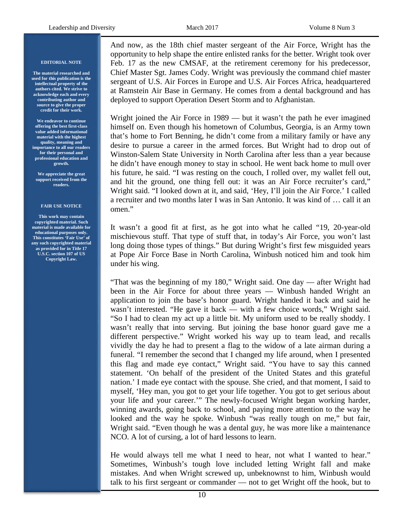#### **EDITORIAL NOTE**

**The material researched and used for this publication is the intellectual property of the authors cited. We strive to acknowledge each and every contributing author and source to give the proper credit for their work.** 

**We endeavor to continue offering the best first-class value added informational material with the highest quality, meaning and importance to all our readers for their personal and professional education and growth.** 

**We appreciate the great support received from the readers.**

#### **FAIR USE NOTICE**

**This work may contain copyrighted material. Such material is made available for educational purposes only. This constitutes 'Fair Use' of any such copyrighted material as provided for in Title 17 U.S.C. section 107 of US Copyright Law.**

And now, as the 18th chief master sergeant of the Air Force, Wright has the opportunity to help shape the entire enlisted ranks for the better. Wright took over Feb. 17 as the new CMSAF, at the retirement ceremony for his predecessor, Chief Master Sgt. James Cody. Wright was previously the command chief master sergeant of U.S. Air Forces in Europe and U.S. Air Forces Africa, headquartered at Ramstein Air Base in Germany. He comes from a dental background and has deployed to support Operation Desert Storm and to Afghanistan.

Wright joined the Air Force in 1989 — but it wasn't the path he ever imagined himself on. Even though his hometown of Columbus, Georgia, is an Army town that's home to Fort Benning, he didn't come from a military family or have any desire to pursue a career in the armed forces. But Wright had to drop out of Winston-Salem State University in North Carolina after less than a year because he didn't have enough money to stay in school. He went back home to mull over his future, he said. "I was resting on the couch, I rolled over, my wallet fell out, and hit the ground, one thing fell out: it was an Air Force recruiter's card," Wright said. "I looked down at it, and said, 'Hey, I'll join the Air Force.' I called a recruiter and two months later I was in San Antonio. It was kind of … call it an omen."

It wasn't a good fit at first, as he got into what he called "19, 20-year-old mischievous stuff. That type of stuff that, in today's Air Force, you won't last long doing those types of things." But during Wright's first few misguided years at Pope Air Force Base in North Carolina, Winbush noticed him and took him under his wing.

"That was the beginning of my 180," Wright said. One day — after Wright had been in the Air Force for about three years — Winbush handed Wright an application to join the base's honor guard. Wright handed it back and said he wasn't interested. "He gave it back — with a few choice words," Wright said. "So I had to clean my act up a little bit. My uniform used to be really shoddy. I wasn't really that into serving. But joining the base honor guard gave me a different perspective." Wright worked his way up to team lead, and recalls vividly the day he had to present a flag to the widow of a late airman during a funeral. "I remember the second that I changed my life around, when I presented this flag and made eye contact," Wright said. "You have to say this canned statement. 'On behalf of the president of the United States and this grateful nation.' I made eye contact with the spouse. She cried, and that moment, I said to myself, 'Hey man, you got to get your life together. You got to get serious about your life and your career.'" The newly-focused Wright began working harder, winning awards, going back to school, and paying more attention to the way he looked and the way he spoke. Winbush "was really tough on me," but fair, Wright said. "Even though he was a dental guy, he was more like a maintenance NCO. A lot of cursing, a lot of hard lessons to learn.

He would always tell me what I need to hear, not what I wanted to hear." Sometimes, Winbush's tough love included letting Wright fall and make mistakes. And when Wright screwed up, unbeknownst to him, Winbush would talk to his first sergeant or commander — not to get Wright off the hook, but to